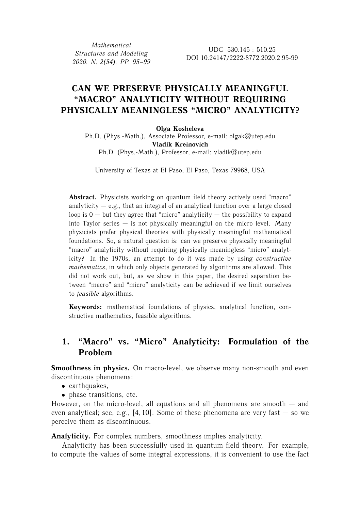*Mathematical Structures and Modeling 2020. N. 2(54). PP. 95–99*

# **CAN WE PRESERVE PHYSICALLY MEANINGFUL "MACRO" ANALYTICITY WITHOUT REQUIRING PHYSICALLY MEANINGLESS "MICRO" ANALYTICITY?**

#### **Olga Kosheleva**

Ph.D. (Phys.-Math.), Associate Professor, e-mail: olgak@utep.edu **Vladik Kreinovich** Ph.D. (Phys.-Math.), Professor, e-mail: vladik@utep.edu

University of Texas at El Paso, El Paso, Texas 79968, USA

Abstract. Physicists working on quantum field theory actively used "macro" analyticity  $-$  e.g., that an integral of an analytical function over a large closed loop is  $0 -$  but they agree that "micro" analyticity  $-$  the possibility to expand into Taylor series  $-$  is not physically meaningful on the micro level. Many physicists prefer physical theories with physically meaningful mathematical foundations. So, a natural question is: can we preserve physically meaningful "macro" analyticity without requiring physically meaningless "micro" analyticity? In the 1970s, an attempt to do it was made by using *constructive mathematics*, in which only objects generated by algorithms are allowed. This did not work out, but, as we show in this paper, the desired separation between "macro" and "micro" analyticity can be achieved if we limit ourselves to *feasible* algorithms.

**Keywords:** mathematical foundations of physics, analytical function, constructive mathematics, feasible algorithms.

# **1. "Macro" vs. "Micro" Analyticity: Formulation of the Problem**

**Smoothness in physics.** On macro-level, we observe many non-smooth and even discontinuous phenomena:

- earthquakes,
- phase transitions, etc.

However, on the micro-level, all equations and all phenomena are smooth — and even analytical; see, e.g., [4, 10]. Some of these phenomena are very fast  $-$  so we perceive them as discontinuous.

**Analyticity.** For complex numbers, smoothness implies analyticity.

Analyticity has been successfully used in quantum field theory. For example, to compute the values of some integral expressions, it is convenient to use the fact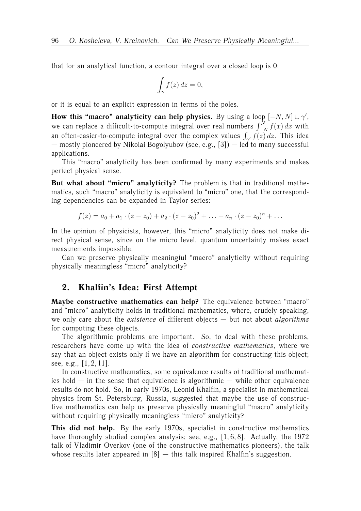that for an analytical function, a contour integral over a closed loop is 0:

$$
\int_{\gamma} f(z) \, dz = 0,
$$

or it is equal to an explicit expression in terms of the poles.

**How this "macro" analyticity can help physics.** By using a loop  $[-N, N] \cup \gamma'$ , we can replace a difficult-to-compute integral over real numbers  $\int_{-N}^{N} f(x)\,dx$  with an often-easier-to-compute integral over the complex values  $\int_{\gamma'} f(z) dz$ . This idea — mostly pioneered by Nikolai Bogolyubov (see, e.g., [3]) — led to many successful applications.

This "macro" analyticity has been confirmed by many experiments and makes perfect physical sense.

**But what about "micro" analyticity?** The problem is that in traditional mathematics, such "macro" analyticity is equivalent to "micro" one, that the corresponding dependencies can be expanded in Taylor series:

$$
f(z) = a_0 + a_1 \cdot (z - z_0) + a_2 \cdot (z - z_0)^2 + \ldots + a_n \cdot (z - z_0)^n + \ldots
$$

In the opinion of physicists, however, this "micro" analyticity does not make direct physical sense, since on the micro level, quantum uncertainty makes exact measurements impossible.

Can we preserve physically meaningful "macro" analyticity without requiring physically meaningless "micro" analyticity?

## **2. Khalfin's Idea: First Attempt**

**Maybe constructive mathematics can help?** The equivalence between "macro" and "micro" analyticity holds in traditional mathematics, where, crudely speaking, we only care about the *existence* of different objects — but not about *algorithms* for computing these objects.

The algorithmic problems are important. So, to deal with these problems, researchers have come up with the idea of *constructive mathematics*, where we say that an object exists only if we have an algorithm for constructing this object; see, e.g., [1, 2, 11].

In constructive mathematics, some equivalence results of traditional mathematics hold — in the sense that equivalence is algorithmic — while other equivalence results do not hold. So, in early 1970s, Leonid Khalfin, a specialist in mathematical physics from St. Petersburg, Russia, suggested that maybe the use of constructive mathematics can help us preserve physically meaningful "macro" analyticity without requiring physically meaningless "micro" analyticity?

**This did not help.** By the early 1970s, specialist in constructive mathematics have thoroughly studied complex analysis; see, e.g.,  $[1, 6, 8]$ . Actually, the 1972 talk of Vladimir Overkov (one of the constructive mathematics pioneers), the talk whose results later appeared in  $[8]$  - this talk inspired Khalfin's suggestion.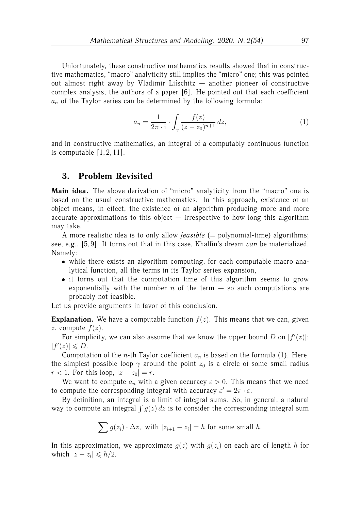Unfortunately, these constructive mathematics results showed that in constructive mathematics, "macro" analyticity still implies the "micro" one; this was pointed out almost right away by Vladimir Lifschitz — another pioneer of constructive complex analysis, the authors of a paper [6]. He pointed out that each coefficient  $a_n$  of the Taylor series can be determined by the following formula:

$$
a_n = \frac{1}{2\pi \cdot i} \cdot \int_{\gamma} \frac{f(z)}{(z - z_0)^{n+1}} dz,
$$
 (1)

and in constructive mathematics, an integral of a computably continuous function is computable  $[1, 2, 11]$ .

## **3. Problem Revisited**

Main idea. The above derivation of "micro" analyticity from the "macro" one is based on the usual constructive mathematics. In this approach, existence of an object means, in effect, the existence of an algorithm producing more and more accurate approximations to this object — irrespective to how long this algorithm may take.

A more realistic idea is to only allow *feasible* (= polynomial-time) algorithms; see, e.g., [5, 9]. It turns out that in this case, Khalfin's dream *can* be materialized. Namely:

- while there exists an algorithm computing, for each computable macro analytical function, all the terms in its Taylor series expansion,
- it turns out that the computation time of this algorithm seems to grow exponentially with the number  $n$  of the term  $-$  so such computations are probably not feasible.

Let us provide arguments in favor of this conclusion.

**Explanation.** We have a computable function  $f(z)$ . This means that we can, given z, compute  $f(z)$ .

For simplicity, we can also assume that we know the upper bound D on  $|f'(z)|$ :  $|f'(z)| \leq D.$ 

Computation of the *n*-th Taylor coefficient  $a_n$  is based on the formula (1). Here, the simplest possible loop  $\gamma$  around the point  $z_0$  is a circle of some small radius  $r < 1$ . For this loop,  $|z - z_0| = r$ .

We want to compute  $a_n$  with a given accuracy  $\varepsilon > 0$ . This means that we need to compute the corresponding integral with accuracy  $\varepsilon' = 2\pi \cdot \varepsilon$ .

By definition, an integral is a limit of integral sums. So, in general, a natural way to compute an integral  $\int g(z)\,dz$  is to consider the corresponding integral sum

$$
\sum g(z_i) \cdot \Delta z, \text{ with } |z_{i+1} - z_i| = h \text{ for some small } h.
$$

In this approximation, we approximate  $q(z)$  with  $q(z_i)$  on each arc of length h for which  $|z - z_i| \le h/2$ .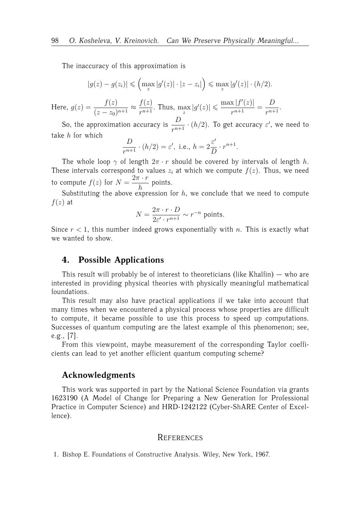The inaccuracy of this approximation is

$$
|g(z) - g(z_i)| \leqslant \left(\max_z |g'(z)| \cdot |z - z_i|\right) \leqslant \max_z |g'(z)| \cdot (h/2).
$$

Here,  $g(z) = \frac{f(z)}{\sqrt{ }}$  $\frac{f(z)}{(z-z_0)^{n+1}} \approx \frac{f(z)}{r^{n+1}}$  $\frac{f(z)}{r^{n+1}}$ . Thus,  $\max_{z} |g'(z)| \leq \frac{\max |f'(z)|}{r^{n+1}}$  $\frac{1}{r^{n+1}}$  =  $\boldsymbol{D}$  $\frac{p}{r^{n+1}}$ .

So, the approximation accuracy is  $\frac{D}{r^{n+1}} \cdot (h/2)$ . To get accuracy  $\varepsilon'$ , we need to take  $h$  for which

$$
\frac{D}{r^{n+1}} \cdot (h/2) = \varepsilon', \text{ i.e., } h = 2\frac{\varepsilon'}{D} \cdot r^{n+1}.
$$

The whole loop  $\gamma$  of length  $2\pi \cdot r$  should be covered by intervals of length h. These intervals correspond to values  $z_i$  at which we compute  $f(z)$ . Thus, we need to compute  $f(z)$  for  $N =$  $2\pi \cdot r$  $\frac{1}{h}$  points.

Substituting the above expression for  $h$ , we conclude that we need to compute  $f(z)$  at

$$
N = \frac{2\pi \cdot r \cdot D}{2\varepsilon' \cdot r^{n+1}} \sim r^{-n}
$$
 points.

Since  $r < 1$ , this number indeed grows exponentially with n. This is exactly what we wanted to show.

### **4. Possible Applications**

This result will probably be of interest to theoreticians (like Khalfin)  $-$  who are interested in providing physical theories with physically meaningful mathematical foundations.

This result may also have practical applications if we take into account that many times when we encountered a physical process whose properties are difficult to compute, it became possible to use this process to speed up computations. Successes of quantum computing are the latest example of this phenomenon; see, e.g., [7].

From this viewpoint, maybe measurement of the corresponding Taylor coefficients can lead to yet another efficient quantum computing scheme?

### **Acknowledgments**

This work was supported in part by the National Science Foundation via grants 1623190 (A Model of Change for Preparing a New Generation for Professional Practice in Computer Science) and HRD-1242122 (Cyber-ShARE Center of Excellence).

#### REFERENCES

1. Bishop E. Foundations of Constructive Analysis. Wiley, New York, 1967.